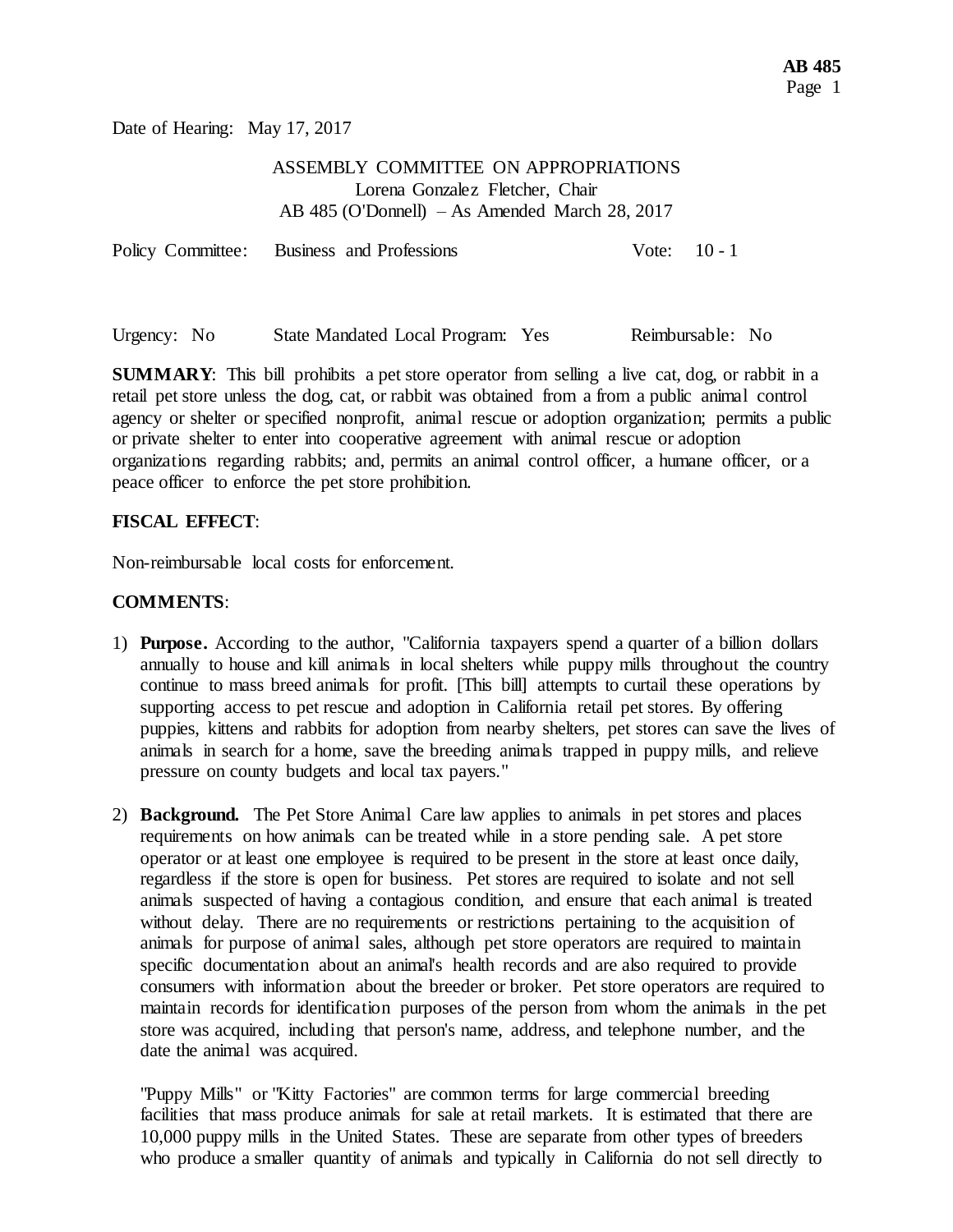Date of Hearing: May 17, 2017

## ASSEMBLY COMMITTEE ON APPROPRIATIONS Lorena Gonzalez Fletcher, Chair AB 485 (O'Donnell) – As Amended March 28, 2017

| Policy Committee: Business and Professions |  |  | Vote: $10 - 1$ |
|--------------------------------------------|--|--|----------------|
|--------------------------------------------|--|--|----------------|

Urgency: No State Mandated Local Program: Yes Reimbursable: No

**SUMMARY**: This bill prohibits a pet store operator from selling a live cat, dog, or rabbit in a retail pet store unless the dog, cat, or rabbit was obtained from a from a public animal control agency or shelter or specified nonprofit, animal rescue or adoption organization; permits a public or private shelter to enter into cooperative agreement with animal rescue or adoption organizations regarding rabbits; and, permits an animal control officer, a humane officer, or a peace officer to enforce the pet store prohibition.

## **FISCAL EFFECT**:

Non-reimbursable local costs for enforcement.

## **COMMENTS**:

- 1) **Purpose.** According to the author, "California taxpayers spend a quarter of a billion dollars annually to house and kill animals in local shelters while puppy mills throughout the country continue to mass breed animals for profit. [This bill] attempts to curtail these operations by supporting access to pet rescue and adoption in California retail pet stores. By offering puppies, kittens and rabbits for adoption from nearby shelters, pet stores can save the lives of animals in search for a home, save the breeding animals trapped in puppy mills, and relieve pressure on county budgets and local tax payers."
- 2) **Background.** The Pet Store Animal Care law applies to animals in pet stores and places requirements on how animals can be treated while in a store pending sale. A pet store operator or at least one employee is required to be present in the store at least once daily, regardless if the store is open for business. Pet stores are required to isolate and not sell animals suspected of having a contagious condition, and ensure that each animal is treated without delay. There are no requirements or restrictions pertaining to the acquisition of animals for purpose of animal sales, although pet store operators are required to maintain specific documentation about an animal's health records and are also required to provide consumers with information about the breeder or broker. Pet store operators are required to maintain records for identification purposes of the person from whom the animals in the pet store was acquired, including that person's name, address, and telephone number, and the date the animal was acquired.

"Puppy Mills" or "Kitty Factories" are common terms for large commercial breeding facilities that mass produce animals for sale at retail markets. It is estimated that there are 10,000 puppy mills in the United States. These are separate from other types of breeders who produce a smaller quantity of animals and typically in California do not sell directly to